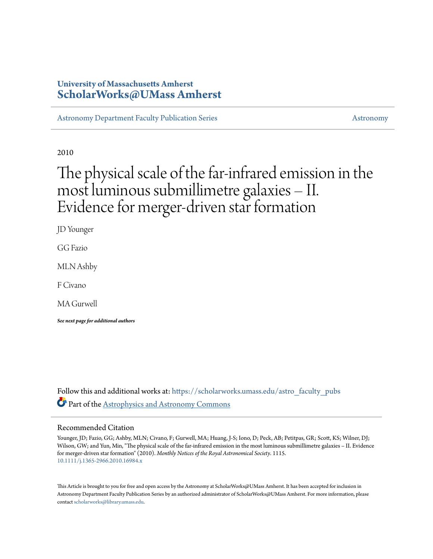# **University of Massachusetts Amherst [ScholarWorks@UMass Amherst](https://scholarworks.umass.edu?utm_source=scholarworks.umass.edu%2Fastro_faculty_pubs%2F1115&utm_medium=PDF&utm_campaign=PDFCoverPages)**

[Astronomy Department Faculty Publication Series](https://scholarworks.umass.edu/astro_faculty_pubs?utm_source=scholarworks.umass.edu%2Fastro_faculty_pubs%2F1115&utm_medium=PDF&utm_campaign=PDFCoverPages) [Astronomy](https://scholarworks.umass.edu/astro?utm_source=scholarworks.umass.edu%2Fastro_faculty_pubs%2F1115&utm_medium=PDF&utm_campaign=PDFCoverPages) Astronomy

2010

# The physical scale of the far-infrared emission in the most luminous submillimetre galaxies – II. Evidence for merger-driven star formation

JD Younger

GG Fazio

MLN Ashby

F Civano

MA Gurwell

*See next page for additional authors*

Follow this and additional works at: [https://scholarworks.umass.edu/astro\\_faculty\\_pubs](https://scholarworks.umass.edu/astro_faculty_pubs?utm_source=scholarworks.umass.edu%2Fastro_faculty_pubs%2F1115&utm_medium=PDF&utm_campaign=PDFCoverPages) Part of the [Astrophysics and Astronomy Commons](http://network.bepress.com/hgg/discipline/123?utm_source=scholarworks.umass.edu%2Fastro_faculty_pubs%2F1115&utm_medium=PDF&utm_campaign=PDFCoverPages)

# Recommended Citation

Younger, JD; Fazio, GG; Ashby, MLN; Civano, F; Gurwell, MA; Huang, J-S; Iono, D; Peck, AB; Petitpas, GR; Scott, KS; Wilner, DJ; Wilson, GW; and Yun, Min, "The physical scale of the far-infrared emission in the most luminous submillimetre galaxies – II. Evidence for merger-driven star formation" (2010). *Monthly Notices of the Royal Astronomical Society*. 1115. <10.1111/j.1365-2966.2010.16984.x>

This Article is brought to you for free and open access by the Astronomy at ScholarWorks@UMass Amherst. It has been accepted for inclusion in Astronomy Department Faculty Publication Series by an authorized administrator of ScholarWorks@UMass Amherst. For more information, please contact [scholarworks@library.umass.edu](mailto:scholarworks@library.umass.edu).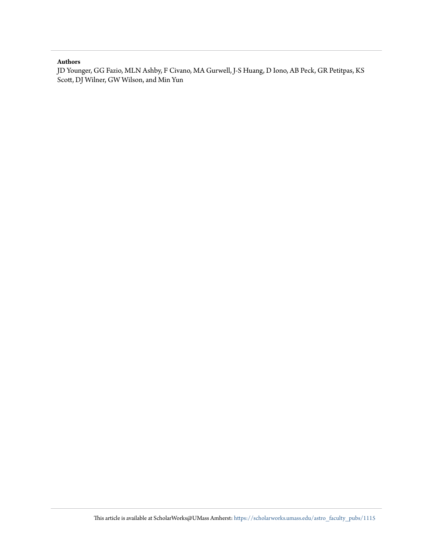# **Authors**

JD Younger, GG Fazio, MLN Ashby, F Civano, MA Gurwell, J-S Huang, D Iono, AB Peck, GR Petitpas, KS Scott, DJ Wilner, GW Wilson, and Min Yun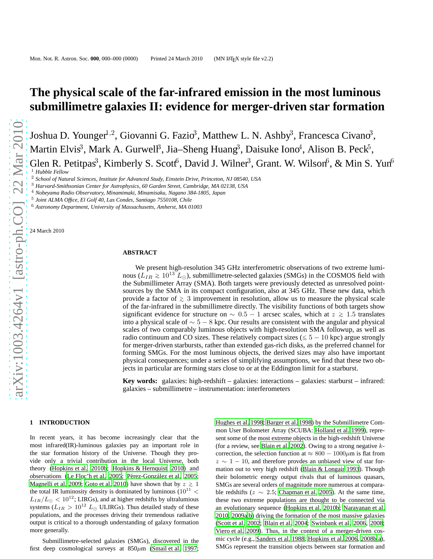# **The physical scale of the far-infrared emission in the most luminous submillimetre galaxies II: evidence for merger-driven star formation**

Joshua D. Younger<sup>1,2</sup>, Giovanni G. Fazio<sup>3</sup>, Matthew L. N. Ashby<sup>3</sup>, Francesca Civano<sup>3</sup>, Martin Elvis<sup>3</sup>, Mark A. Gurwell<sup>3</sup>, Jia–Sheng Huang<sup>3</sup>, Daisuke Iono<sup>4</sup>, Alison B. Peck<sup>5</sup>, Glen R. Petitpas<sup>3</sup>, Kimberly S. Scott<sup>6</sup>, David J. Wilner<sup>3</sup>, Grant. W. Wilson<sup>6</sup>, & Min S. Yun<sup>6</sup> <sup>1</sup> *Hubble Fellow*

<sup>4</sup> *Nobeyama Radio Observatory, Minamimaki, Minamisaku, Nagano 384-1805, Japan*

24 March 2010

### **ABSTRACT**

We present high-resolution 345 GHz interferometric observations of two extreme luminous ( $\hat{L_{IR}} \gtrsim 10^{13}$  L<sub>☉</sub>), submillimetre-selected galaxies (SMGs) in the COSMOS field with the Submillimeter Array (SMA). Both targets were previously detected as unresolved pointsources by the SMA in its compact configuration, also at 345 GHz. These new data, which provide a factor of <sup>&</sup>gt;<sup>∼</sup> 3 improvement in resolution, allow us to measure the physical scale of the far-infrared in the submillimetre directly. The visibility functions of both targets show significant evidence for structure on  $\sim 0.5 - 1$  arcsec scales, which at  $z \ge 1.5$  translates into a physical scale of  $\sim 5 - 8$  kpc. Our results are consistent with the angular and physical scales of two comparably luminous objects with high-resolution SMA followup, as well as radio continuum and CO sizes. These relatively compact sizes ( $\leq 5 - 10$  kpc) argue strongly for merger-driven starbursts, rather than extended gas-rich disks, as the preferred channel for forming SMGs. For the most luminous objects, the derived sizes may also have important physical consequences; under a series of simplifying assumptions, we find that these two objects in particular are forming stars close to or at the Eddington limit for a starburst.

**Key words:** galaxies: high-redshift – galaxies: interactions – galaxies: starburst – infrared: galaxies – submillimetre – instrumentation: interferometers

# arXiv:1003.4264v1 [astro-ph.CO] 22 Mar 2010 [arXiv:1003.4264v1 \[astro-ph.CO\] 22 Mar 2010](http://arxiv.org/abs/1003.4264v1)

### **1 INTRODUCTION**

In recent years, it has become increasingly clear that the most infrared(IR)-luminous galaxies pay an important role in the star formation history of the Universe. Though they provide only a trivial contribution in the local Universe, both theory [\(Hopkins et al. 2010b](#page-9-0); [Hopkins & Hernquist 2010\)](#page-9-1) and observations [\(Le Floc'h et al. 2005](#page-9-2); Pérez-González et al. 2005; [Magnelli et al. 2009;](#page-9-4) [Goto et al. 2010\)](#page-9-5) have shown that by  $z \ge 1$ the total IR luminosity density is dominated by luminous  $(10^{11}$  <  $L_{IR}/L_{\odot} < 10^{12}$ ; LIRGs), and at higher redshifts by ultralumious systems ( $L_{IR} > 10^{12} L_{\odot}$  ULIRGs). Thus detailed study of these populations, and the processes driving their tremendous radiative output is critical to a thorough understanding of galaxy formation more generally.

Submillimetre-selected galaxies (SMGs), discovered in the first deep cosmological surveys at  $850 \mu m$  [\(Smail et al. 1997;](#page-10-0)

[Hughes et al. 1998](#page-9-6); [Barger et al. 1998\)](#page-8-0) by the Submillimetre Common User Bolometer Array (SCUBA: [Holland et al. 1999\)](#page-9-7), represent some of the most extreme objects in the high-redshift Universe (for a review, see [Blain et al. 2002\)](#page-8-1). Owing to a strong negative  $k$ correction, the selection function at  $\approx 800 - 1000 \mu m$  is flat from  $z \sim 1 - 10$ , and therefore provdes an unbiased view of star formation out to very high redshift [\(Blain & Longair 1993](#page-8-2)). Though their bolometric energy output rivals that of luminous quasars, SMGs are several orders of magnitude more numerous at comparable redshifts ( $z \sim 2.5$ ; [Chapman et al. 2005](#page-9-8)). At the same time, these two extreme populations are thought to be connected via an evolutionary sequence [\(Hopkins et al. 2010b](#page-9-0); [Narayanan et al.](#page-9-9) [2010](#page-9-9), [2009a](#page-9-10)[,b](#page-9-11)) driving the formation of the most massive galaxies [\(Scott et al. 2002;](#page-10-1) [Blain et al. 2004;](#page-8-3) [Swinbank et al. 2006,](#page-10-2) [2008;](#page-10-3) [Viero et al. 2009](#page-10-4)). Thus, in the context of a merger-driven cosmic cycle (e.g., [Sanders et al. 1988;](#page-10-5) [Hopkins et al. 2006,](#page-9-12) [2008b](#page-9-13)[,a](#page-9-14)), SMGs represent the transition objects between star formation and

<sup>2</sup> *School of Natural Sciences, Institute for Advanced Study, Einstein Drive, Princeton, NJ 08540, USA*

<sup>3</sup> *Harvard-Smithsonian Center for Astrophysics, 60 Garden Street, Cambridge, MA 02138, USA*

<sup>5</sup> *Joint ALMA Office, El Golf 40, Las Condes, Santiago 7550108, Chile*

<sup>6</sup> *Astronomy Department, University of Massachusetts, Amherst, MA 01003*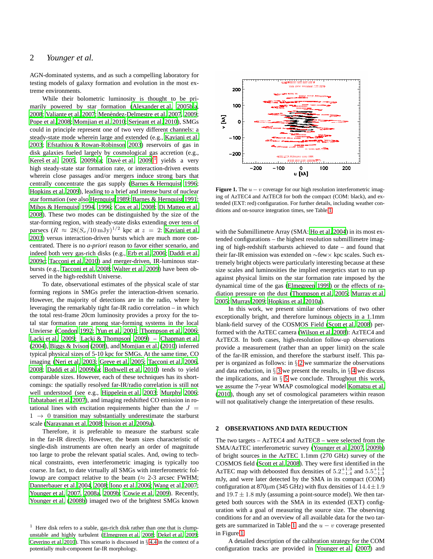# 2 *Younger et al.*

AGN-dominated systems, and as such a compelling laboratory for testing models of galaxy formation and evolution in the most extreme environments.

While their bolometric luminosity is thought to be primarily powered by star formation [\(Alexander et al. 2005b](#page-8-4)[,a,](#page-8-5) [2008;](#page-8-6) [Valiante et al. 2007](#page-10-6); Menéndez-Delmestre et al. 2007, [2009;](#page-9-16) [Pope et al. 2008;](#page-9-17) [Momjian et al. 2010](#page-9-18); [Serjeant et al. 2010\)](#page-10-7), SMGs could in principle represent one of two very different channels: a steady-state mode wherein large and extended (e.g., [Kaviani et al.](#page-9-19) [2003;](#page-9-19) [Efstathiou & Rowan-Robinson 2003\)](#page-9-20) reservoirs of gas in disk galaxies fueled largely by cosmological gas accretion (e.g., Kereš et al. 2005, [2009b](#page-9-22), a; Davé et al.  $2009$ <sup>[1](#page-3-0)</sup> yields a very high steady-state star formation rate, or interaction-driven events wherein close passages and/or mergers induce strong bars that centrally concentrate the gas supply [\(Barnes & Hernquist 1996;](#page-8-7) [Hopkins et al. 2009](#page-9-25)), leading to a brief and intense burst of nuclear star formation (see also [Hernquist 1989](#page-9-26); [Barnes & Hernquist](#page-8-8) [1991;](#page-8-8) [Mihos & Hernquist 1994](#page-9-27), [1996;](#page-9-28) [Cox et al. 2008](#page-9-29); [Di Matteo et al.](#page-9-30) [2008\)](#page-9-30). These two modes can be distinguished by the size of the star-forming region, with steady-state disks extending over tens of parsecs  $(R \approx 28(S_\nu/10\,\text{mJy})^{1/2}$  kpc at  $z = 2$ : [Kaviani et al.](#page-9-19) [2003](#page-9-19)) versus interaction-driven bursts which are much more concentrated. There is no *a-priori* reason to favor either scenario, and indeed both very gas-rich disks (e.g., [Erb et al. 2006](#page-9-31); [Daddi](#page-9-32) et al. [2009c](#page-9-32); [Tacconi et al. 2010](#page-10-8)) and merger-driven, IR-luminous starbursts (e.g., [Tacconi et al. 2008](#page-10-9); [Walter et al. 2009](#page-10-10)) have been observed in the high-redshift Universe.

To date, observational estimates of the physical scale of star forming regions in SMGs prefer the interaction-driven scenario. However, the majority of detections are in the radio, where by leveraging the remarkably tight far-IR radio correlation – in which the total rest-frame 20cm luminosity provides a proxy for the total star formation rate among star-forming systems in the local Unvierse [\(Condon 1992;](#page-9-33) [Yun et al. 2001;](#page-10-11) [Thompson et al. 2006;](#page-10-12) [Lacki et al. 2009;](#page-9-34) [Lacki & Thompson 2009](#page-9-35)) – [Chapman et al.](#page-9-36) [\(2004](#page-9-36)), [Biggs & Ivison \(2008\)](#page-8-9), and [Momjian et al.](#page-9-18) [\(2010](#page-9-18)) inferred typical physical sizes of 5-10 kpc for SMGs. At the same time, CO imaging [\(Neri et al. 2003](#page-9-37); [Greve et al. 2005;](#page-9-38) [Tacconi et al. 2006](#page-10-13), [2008](#page-10-9); [Daddi et al. 2009b](#page-9-39)[,a](#page-9-40); [Bothwell et al. 2010](#page-8-10)) tends to yield comparable sizes. However, each of these techniques has its shortcomings: the spatially resolved far-IR/radio correlation is still not well understood (see e.g., [Hippelein et al. 2003](#page-9-41); [Murphy 2006;](#page-9-42) [Tabatabaei et al. 2007](#page-10-14)), and imaging redshifted CO emission in rotational lines with excitation requirements higher than the  $J =$  $1 \rightarrow 0$  transition may substantially underestimate the starburst scale [\(Narayanan et al. 2008](#page-9-43); [Ivison et al. 2009a\)](#page-9-44).

Therefore, it is preferable to measure the starburst scale in the far-IR directly. However, the beam sizes characteristic of single-dish instruments are often nearly an order of magnitude too large to probe the relevant spatial scales. And, owing to technical constraints, even interferometric imaging is typically too coarse. In fact, to date virtually all SMGs with interferometric followup are compact relative to the beam ( $\approx$  2-3 arcsec FWHM; [Dannerbauer et al. 2004](#page-9-45), [2008](#page-9-46); [Iono et al. 2006;](#page-9-47) [Wang et al. 2007;](#page-10-15) [Younger et al. 2007](#page-10-16), [2008a](#page-10-17), [2009b](#page-10-18); [Cowie et al. 2009](#page-9-48)). Recently, [Younger et al. \(2008b](#page-10-19)) imaged two of the brightest SMGs known



<span id="page-3-2"></span>**Figure 1.** The  $u - v$  coverage for our high resolution interferometric imaging of AzTEC4 and AzTEC8 for both the compact (COM: black), and extended (EXT: red) configuration. For further details, including weather conditions and on-source integration times, see Table [1.](#page-4-0)

with the Submillimetre Array (SMA: [Ho et al. 2004](#page-9-52)) in its most extended configurations – the highest resolution submillimetre imaging of high-redshift starbursts achieved to date – and found that their far-IR emission was extended on ∼few× kpc scales. Such extremely bright objects were particularly interesting because at these size scales and luminosities the implied energetics start to run up against physical limits on the star formation rate imposed by the dynamical time of the gas [\(Elmegreen 1999](#page-9-53)) or the effects of radiation pressure on the dust [\(Thompson et al. 2005](#page-10-20); [Murray et](#page-9-54) al. [2005](#page-9-54); [Murray 2009;](#page-9-55) [Hopkins et al. 2010a\)](#page-9-56).

In this work, we present similar observations of two other exceptionally bright, and therefore luminous objects in a 1.1mm blank-field survey of the COSMOS Field [\(Scott et al. 2008](#page-10-21)) performed with the AzTEC camera [\(Wilson et al. 2008\)](#page-10-22): AzTEC4 and AzTEC8. In both cases, high-resolution follow-up observations provide a measurement (rather than an upper limit) on the scale of the far-IR emission, and therefore the starburst itself. This paper is organized as follows: in  $\S 2$  $\S 2$  we summarize the observations and data reduction, in  $\S$  [3](#page-4-1) we present the results, in  $\S$  [4](#page-6-0) we discuss the implications, and in  $\S$  [5](#page-8-11) we conclude. Throughout this work, we assume the 7-year WMAP cosmological model [Komatsu et al.](#page-9-57) [\(2010](#page-9-57)), though any set of cosmological parameters within reason will not qualitatively change the interpretation of these results.

### <span id="page-3-1"></span>**2 OBSERVATIONS AND DATA REDUCTION**

The two targets – AzTEC4 and AzTEC8 – were selected from the SMA/AzTEC interferometric survey [\(Younger et al. 2007,](#page-10-16) [2009b](#page-10-18)) of bright sources in the AzTEC 1.1mm (270 GHz) survey of the COSMOS field [\(Scott et al. 2008\)](#page-10-21). They were first identified in the AzTEC map with deboosted flux densities of  $5.2^{+1.3}_{-1.4}$  and  $5.5^{+1.3}_{-1.3}$ mJy, and were later detected by the SMA in its compact (COM) configuration at 870 $\mu$ m (345 GHz) with flux densities of 14.4 $\pm$ 1.9 and  $19.7 \pm 1.8$  mJy (assuming a point-source model). We then targeted both sources with the SMA in its extended (EXT) configuration with a goal of measuring the source size. The observing conditions for and an overview of all available data for the two tar-gets are summarized in Table [1,](#page-4-0) and the  $u - v$  coverage presented in Figure [1.](#page-3-2)

A detailed description of the calibration strategy for the COM configuration tracks are provided in [Younger et al.](#page-10-16) [\(2007](#page-10-16)) and

<span id="page-3-0"></span><sup>&</sup>lt;sup>1</sup> Here disk refers to a stable, gas-rich disk rather than one that is clumpunstable and highly turbulent [\(Elmegreen et al. 2008](#page-9-49); [Dekel](#page-9-50) et al. [2009](#page-9-50); [Ceverino et al. 2010](#page-9-51)). This scenario is discussed in § [4.4](#page-7-0) in the context of a potentially mult-component far-IR morphology.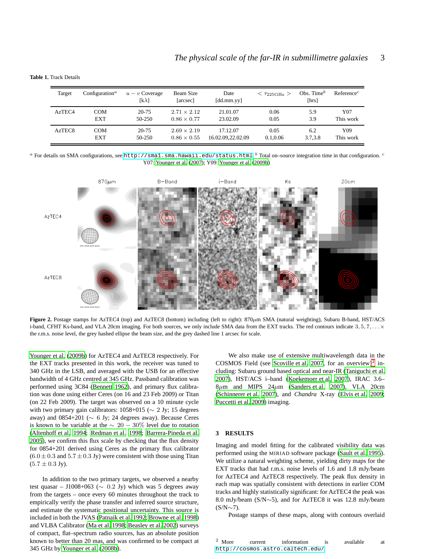**Table 1.** Track Details

<span id="page-4-0"></span>

| Target             | Configuration <sup><math>a</math></sup> | $u - v$ Coverage<br>[k $\lambda$ ] | Beam Size<br>[arcsec] | Date<br>[dd.mm.yy] | $<$ $\tau_{225\text{GHz}}$ $>$ | Obs. Time $^b$<br>[hrs] | Reference <sup>c</sup> |
|--------------------|-----------------------------------------|------------------------------------|-----------------------|--------------------|--------------------------------|-------------------------|------------------------|
| AzTEC <sub>4</sub> | <b>COM</b>                              | $20 - 75$                          | $2.71 \times 2.12$    | 21.01.07           | 0.06                           | 5.9                     | Y07                    |
|                    | <b>EXT</b>                              | $50-250$                           | $0.86 \times 0.77$    | 23.02.09           | 0.05                           | 3.9                     | This work              |
| AzTEC <sub>8</sub> | COM                                     | $20 - 75$                          | $2.69 \times 2.19$    | 17.12.07           | 0.05                           | 6.2                     | Y09                    |
|                    | <b>EXT</b>                              | 50-250                             | $0.86 \times 0.55$    | 16.02.09.22.02.09  | 0.1.0.06                       | 3.7,3.8                 | This work              |

 $^a$  For details on SMA configurations, see <http://sma1.sma.hawaii.edu/status.html>.  $^b$  Total on–source integration time in that configuration.  $^c$ Y07: [Younger et al.](#page-10-16) [\(2007](#page-10-16)); Y09: [Younger et al. \(2009b](#page-10-18))



<span id="page-4-3"></span>**Figure 2.** Postage stamps for AzTEC4 (top) and AzTEC8 (bottom) including (left to right):  $870 \mu m$  SMA (natural weighting), Subaru B-band, HST/ACS i-band, CFHT Ks-band, and VLA 20cm imaging. For both sources, we only include SMA data from the EXT tracks. The red contours indicate  $3, 5, 7, \ldots \times$ the r.m.s. noise level, the grey hashed ellipse the beam size, and the grey dashed line 1 arcsec for scale.

[Younger et al.](#page-10-18) [\(2009b\)](#page-10-18) for AzTEC4 and AzTEC8 respectively. For the EXT tracks presented in this work, the receiver was tuned to 340 GHz in the LSB, and averaged with the USB for an effective bandwidth of 4 GHz centred at 345 GHz. Passband calibration was performed using 3C84 [\(Bennett 1962](#page-8-12)), and primary flux calibration was done using either Ceres (on 16 and 23 Feb 2009) or Titan (on 22 Feb 2009). The target was observed on a 10 minute cycle with two primary gain calibrators:  $1058+015 \sim 2$  Jy; 15 degrees away) and 0854+201 ( $\sim$  6 Jy; 24 degrees away). Because Ceres is known to be variable at the  $\sim 20 - 30\%$  level due to rotation [\(Altenhoff et al. 1994;](#page-8-13) [Redman et al. 1998](#page-9-58); [Barrera-Pineda et al.](#page-8-14) [2005\)](#page-8-14), we confirm this flux scale by checking that the flux density for 0854+201 derived using Ceres as the primary flux calibrator  $(6.0 \pm 0.3$  and  $5.7 \pm 0.3$  Jy) were consistent with those using Titan  $(5.7 \pm 0.3 \text{ Jy}).$ 

In addition to the two primary targets, we observed a nearby test quasar – J1008+063 ( $\sim$  0.2 Jy) which was 5 degrees away from the targets – once every 60 minutes throughout the track to empirically verify the phase transfer and inferred source structure, and estimate the systematic positional uncertainty. This source is included in both the JVAS [\(Patnaik et al. 1992](#page-9-59); [Browne et al. 1998](#page-8-15)) and VLBA Calibrator [\(Ma et al. 1998](#page-9-60); [Beasley et al. 2002\)](#page-8-16) surveys of compact, flat–spectrum radio sources, has an absolute position known to better than 20 mas, and was confirmed to be compact at 345 GHz by [Younger et al.](#page-10-19) [\(2008b\)](#page-10-19).

We also make use of extensive multiwavelength data in the COSMOS Field (see [Scoville et al. 2007](#page-10-23), for an overview)<sup>[2](#page-4-2)</sup> including: Subaru ground based optical and near-IR [\(Taniguchi et al.](#page-10-24) [2007](#page-10-24)), HST/ACS i–band [\(Koekemoer et al. 2007\)](#page-9-61), IRAC 3.6–  $8\mu$ m and MIPS  $24\mu$ m [\(Sanders et al. 2007](#page-10-25)), VLA 20cm [\(Schinnerer et al. 2007](#page-10-26)), and *Chandra* X-ray [\(Elvis et al. 2009;](#page-9-62) [Puccetti et al. 2009\)](#page-9-63) imaging.

### <span id="page-4-1"></span>**3 RESULTS**

Imaging and model fitting for the calibrated visibility data was performed using the MIRIAD software package [\(Sault et al. 1995](#page-10-27)). We utilize a natural weighting scheme, yielding dirty maps for the EXT tracks that had r.m.s. noise levels of 1.6 and 1.8 mJy/beam for AzTEC4 and AzTEC8 respectively. The peak flux density in each map was spatially consistent with detections in earlier COM tracks and highly statistically significant: for AzTEC4 the peak was 8.0 mJy/beam (S/N∼5), and for AzTEC8 it was 12.8 mJy/beam (S/N∼7).

<span id="page-4-2"></span>Postage stamps of these maps, along with contours overlaid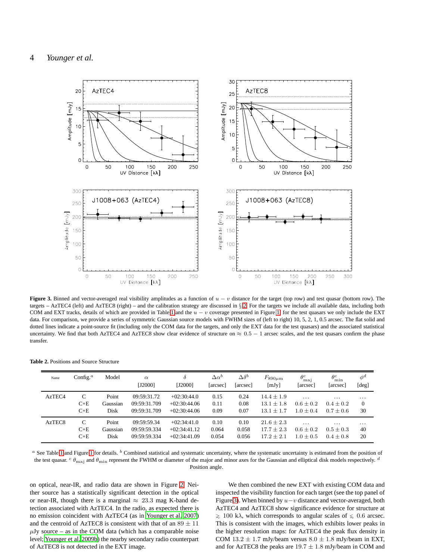

<span id="page-5-0"></span>**Figure 3.** Binned and vector-averaged real visibility amplitudes as a function of  $u - v$  distance for the target (top row) and test quasar (bottom row). The targets – AzTEC4 (left) and AzTEC8 (right) – and the calibration strategy are discussed in § [2.](#page-3-1) For the targets we include all available data, including both COM and EXT tracks, details of which are provided in Table [1](#page-4-0) and the  $u - v$  coverage presented in Figure [1;](#page-3-2) for the test quasars we only include the EXT data. For comparison, we provide a series of symmetric Gaussian source models with FWHM sizes of (left to right) 10, 5, 2, 1, 0.5 arcsec. The flat solid and dotted lines indicate a point-source fit (including only the COM data for the targets, and only the EXT data for the test quasars) and the associated statistical uncertainty. We find that both AzTEC4 and AzTEC8 show clear evidence of structure on  $\approx 0.5 - 1$  arcsec scales, and the test quasars confirm the phase transfer.

**Table 2.** Positions and Source Structure

<span id="page-5-1"></span>

| Name               | Config. <sup><math>a</math></sup> | Model    | $\alpha$<br>[J2000] | $\delta$<br>[J2000] | $\Delta \alpha^b$<br>[arcsec] | $\Delta \delta^b$<br>[arcsec] | $F_{890\mu m}$<br>[mJy] | $\theta_{\text{mai}}^c$<br>[arcsec] | $\theta_{\rm min}^c$<br>[arcsec] | $\phi^d$<br>[deg] |
|--------------------|-----------------------------------|----------|---------------------|---------------------|-------------------------------|-------------------------------|-------------------------|-------------------------------------|----------------------------------|-------------------|
| AzTEC4             | C                                 | Point    | 09:59:31.72         | $+02:30:44.0$       | 0.15                          | 0.24                          | $14.4 + 1.9$            | $\cdots$                            | $\cdots$                         | $\cdots$          |
|                    | $C+E$                             | Gaussian | 09:59:31.709        | $+02:30:44.06$      | 0.11                          | 0.08                          | $13.1 \pm 1.8$          | $0.6 \pm 0.2$                       | $0.4 + 0.2$                      | $\theta$          |
|                    | $C+E$                             | Disk     | 09:59:31.709        | $+02:30:44.06$      | 0.09                          | 0.07                          | $13.1 + 1.7$            | $1.0 + 0.4$                         | $0.7 + 0.6$                      | 30                |
| AzTEC <sub>8</sub> | C                                 | Point    | 09:59:59.34         | $+02:34:41.0$       | 0.10                          | 0.10                          | $21.6 \pm 2.3$          | $\cdots$                            | $\cdots$                         | $\cdots$          |
|                    | $C+E$                             | Gaussian | 09:59:59.334        | $+02:34:41.12$      | 0.064                         | 0.058                         | $17.7 + 2.3$            | $0.6 \pm 0.2$                       | $0.5 + 0.3$                      | 40                |
|                    | $C+E$                             | Disk     | 09:59:59.334        | $+02:34:41.09$      | 0.054                         | 0.056                         | $17.2 + 2.1$            | $1.0 + 0.5$                         | $0.4 \pm 0.8$                    | 20                |

 $a$  See Table [1](#page-3-2) and Figure 1 for details.  $b$  Combined statistical and systematic uncertainty, where the systematic uncertainty is estimated from the position of the test quasar.  $c \theta_{\text{maj}}$  and  $\theta_{\text{min}}$  represent the FWHM or diameter of the major and minor axes for the Gaussian and elliptical disk models respectively.  $d$ Position angle.

on optical, near-IR, and radio data are shown in Figure [2.](#page-4-3) Neither source has a statistically significant detection in the optical or near-IR, though there is a marginal  $\approx 23.3$  mag K-band detection associated with AzTEC4. In the radio, as expected there is no emission coincident with AzTEC4 (as in [Younger et al. 2007](#page-10-16)) and the centroid of AzTEC8 is consistent with that of an  $89 \pm 11$  $\mu$ Jy source – as in the COM data (which has a comparable noise level; [Younger et al. 2009b\)](#page-10-18) the nearby secondary radio counterpart of AzTEC8 is not detected in the EXT image.

We then combined the new EXT with existing COM data and inspected the visibility function for each target (see the top panel of Figure [3\)](#page-5-0). When binned by  $u-v$  distance and vector-averaged, both AzTEC4 and AzTEC8 show significance evidence for structure at  $\geq 100$  kλ, which corresponds to angular scales of  $\leq 0.6$  arcsec. This is consistent with the images, which exhibits lower peaks in the higher resolution maps: for AzTEC4 the peak flux density in COM 13.2  $\pm$  1.7 mJy/beam versus 8.0  $\pm$  1.8 mJy/beam in EXT, and for AzTEC8 the peaks are  $19.7 \pm 1.8$  mJy/beam in COM and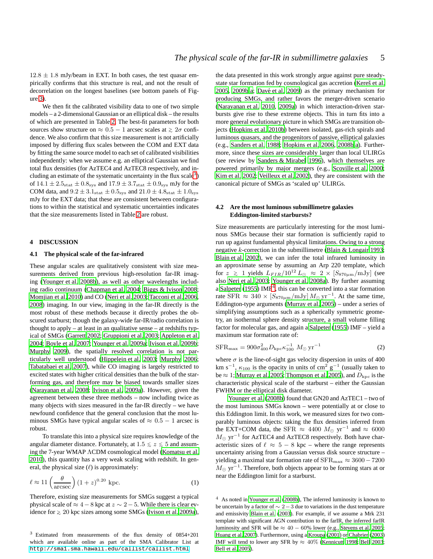$12.8 \pm 1.8$  mJy/beam in EXT. In both cases, the test quasar empirically confirms that this structure is real, and not the result of decorrelation on the longest baselines (see bottom panels of Figure [3\)](#page-5-0).

We then fit the calibrated visibility data to one of two simple models – a 2-dimensional Gaussian or an elliptical disk – the results of which are presented in Table [2.](#page-5-1) The best-fit parameters for both sources show structure on  $\approx 0.5 - 1$  arcsec scales at  $\ge 2\sigma$  confidence. We also confirm that this size measurement is not artificially imposed by differing flux scales between the COM and EXT data by fitting the same source model to each set of calibrated visibilities independently: when we assume e.g. an elliptical Gaussian we find total flux densities (for AzTEC4 and AzTEC8 respectively, and in-cluding an estimate of the systematic uncertainty in the flux scale<sup>[3](#page-6-1)</sup>) of  $14.1 \pm 2.5$ <sub>stat</sub>  $\pm 0.8$ <sub>sys</sub> and  $17.9 \pm 3.7$ <sub>stat</sub>  $\pm 0.9$ <sub>sys</sub> mJy for the COM data, and  $9.2 \pm 3.1<sub>stat</sub> \pm 0.5<sub>sys</sub>$  and  $21.0 \pm 4.8<sub>stat</sub> \pm 1.0<sub>sys</sub>$ mJy for the EXT data; that these are consistent between configurations to within the statistical and systematic uncertainties indicates that the size measurements listed in Table [2](#page-5-1) are robust.

### <span id="page-6-0"></span>**4 DISCUSSION**

### **4.1 The physical scale of the far-infrared**

These angular scales are qualitatively consistent with size measurements derived from previous high-resolution far-IR imaging [\(Younger et al. 2008b](#page-10-19)), as well as other wavelengths including radio continuum [\(Chapman et al. 2004](#page-9-36); [Biggs & Ivison 2008;](#page-8-9) [Momjian et al. 2010](#page-9-18)) and CO [\(Neri et al. 2003](#page-9-37); [Tacconi et al. 2006](#page-10-13), [2008](#page-10-9)) imaging. In our view, imaging in the far-IR directly is the most robust of these methods because it directly probes the obscured starburst; though the galaxy-wide far-IR/radio correlation is thought to apply – at least in an qualitative sense – at redshifts typical of SMGs [\(Garrett 2002](#page-9-64); [Gruppioni et al. 2003](#page-9-65); [Appleton et al.](#page-8-17) [2004](#page-8-17); [Boyle et al. 2007;](#page-8-18) [Younger et al. 2009a](#page-10-28); [Ivison et al. 2009b;](#page-9-66) [Murphy 2009](#page-9-67)), the spatially resolved correlation is not particularly well understood [\(Hippelein et al. 2003;](#page-9-41) [Murphy 2006;](#page-9-42) [Tabatabaei et al. 2007](#page-10-14)), while CO imaging is largely restricted to excited states with higher critical densities than the bulk of the starforming gas, and therefore may be biased towards smaller sizes [\(Narayanan et al. 2008](#page-9-43); [Ivison et al. 2009a](#page-9-44)). However, given the agreement between these three methods – now including twice as many objects with sizes measured in the far-IR directly – we have newfound confidence that the general conclusion that the most luminous SMGs have typical angular scales of  $\approx 0.5 - 1$  arcsec is robust.

To translate this into a physical size requires knowledge of the angular diameter distance. Fortunately, at  $1.5 \le z \le 5$  and assuming the 7-year WMAP ΛCDM cosmological model [\(Komatsu et al.](#page-9-57) [2010](#page-9-57)), this quantity has a very weak scaling with redshift. In general, the physical size  $(\ell)$  is approximately:

$$
\ell \approx 11 \left( \frac{\theta}{\text{arcsec}} \right) (1+z)^{0.20} \text{ kpc.}
$$
 (1)

Therefore, existing size measurements for SMGs suggest a typical physical scale of  $\approx$  4 – 8 kpc at  $z \sim 2-5$ . While there is clear evidence for <sup>&</sup>gt;<sup>∼</sup> 20 kpc sizes among some SMGs [\(Ivison et al. 2009a](#page-9-44)),

the data presented in this work strongly argue against pure steadystate star formation fed by cosmological gas accretion (Kereš et al. [2005](#page-9-21), [2009b](#page-9-22)[,a;](#page-9-23) Davé et al. 2009) as the primary mechanism for producing SMGs, and rather favors the merger-driven scenario [\(Narayanan et al. 2010](#page-9-9), [2009a\)](#page-9-10) in which interaction-driven starbursts give rise to these extreme objects. This in turn fits into a more general evolutionary picture in which SMGs are transition objects [\(Hopkins et al. 2010b](#page-9-0)) between isolated, gas-rich spirals and luminous quasars, and the progenitors of passive, elliptical galaxies (e.g., [Sanders et al. 1988;](#page-10-5) [Hopkins et al. 2006](#page-9-12), [2008b](#page-9-13)[,a\)](#page-9-14). Furthermore, since these sizes are considerably larger than local ULIRGs (see review by [Sanders & Mirabel 1996](#page-10-29)), which themselves are powered primarily by major mergers (e.g., [Scoville et al. 2000;](#page-10-30) [Kim et al. 2002](#page-9-68); [Veilleux et al. 2002](#page-10-31)), they are consistent with the canonical picture of SMGs as 'scaled up' ULIRGs.

### **4.2 Are the most luminous submillimetre galaxies Eddington-limited starbursts?**

Size measurements are particularly interesting for the most luminous SMGs because their star formation is sufficiently rapid to run up against fundamental physical limitations. Owing to a strong negative k-correction in the submillimetre [\(Blain & Longair 1993;](#page-8-2) [Blain et al. 2002](#page-8-1)), we can infer the total infrared luminosity in an approximate sense by assuming an Arp 220 template, which for  $z \geq 1$  yields  $L_{FIR}/10^{12} L_{\odot} \approx 2 \times [S_{870\mu m}/mJy]$  (see also [Neri et al. 2003](#page-9-37); [Younger et al. 2008a](#page-10-17)). By further assuming a [Salpeter \(1955\)](#page-10-32) IMF<sup>[4](#page-6-2)</sup>, this can be converted into a star formation rate SFR  $\approx 340 \times [S_{870\mu\text{m}}/\text{mJy}] M_{\odot} \text{ yr}^{-1}$ . At the same time, Eddington-type arguments [\(Murray et al. 2005](#page-9-54)) – under a series of simplifying assumptions such as a spherically symmetric geometry, an isothermal sphere density structure, a small volume filling factor for molecular gas, and again a [Salpeter \(1955](#page-10-32)) IMF – yield a maximum star formation rate of:

$$
SFR_{\text{max}} = 900\sigma_{400}^2 D_{\text{kpc}} \kappa_{100}^{-1} M_{\odot} \text{ yr}^{-1}
$$
 (2)

where  $\sigma$  is the line-of-sight gas velocity dispersion in units of 400 km s<sup>-1</sup>,  $\kappa_{100}$  is the opacity in units of cm<sup>2</sup> g<sup>-1</sup> (usually taken to be  $\approx 1$ ; [Murray et al. 2005](#page-9-54); [Thompson et al. 2005](#page-10-20)), and  $D_{\rm kpc}$  is the characteristic physical scale of the starburst – either the Gaussian FWHM or the elliptical disk diameter.

[Younger et al. \(2008b](#page-10-19)) found that GN20 and AzTEC1 – two of the most luminous SMGs known – were potentially at or close to this Eddington limit. In this work, we measured sizes for two comparably luminous objects: taking the flux densities inferred from the EXT+COM data, the SFR  $\approx 4400 M_{\odot} \text{ yr}^{-1}$  and  $\approx 6000$  $M_{\odot}$  yr<sup>-1</sup> for AzTEC4 and AzTEC8 respectively. Both have characteristic sizes of  $\ell \approx 5 - 8$  kpc – where the range represents uncertainty arising from a Gaussian versus disk source structure – yielding a maximal star formation rate of  $SFR_{\rm max} \approx 3600-7200$  $M_{\odot}$  yr<sup>-1</sup>. Therefore, both objects appear to be forming stars at or near the Eddington limit for a starburst.

<span id="page-6-1"></span><sup>3</sup> Estimated from measurements of the flux density of 0854+201 which are available online as part of the SMA Calibrator List at <http://sma1.sma.hawaii.edu/callist/callist.html>

<span id="page-6-2"></span><sup>4</sup> As noted in [Younger et al. \(2008b\)](#page-10-19), The inferred luminosity is known to be uncertain by a factor of  $\sim$  2 – 3 due to variations in the dust temperature and emissivity [Blain et al. \(2003\)](#page-8-19). For example, if we assume a Mrk 231 template with significant AGN contribution to the farIR, the inferred farIR luminosity and SFR will be  $\approx 40 - 60\%$  lower (e.g., [Stevens et al. 2005](#page-10-33); [Huang et al. 2007\)](#page-9-69). Furthermore, using a [Kroupa \(2001](#page-9-70)) or [Chabrier](#page-9-71) [\(2003](#page-9-71)) IMF will tend to lower any SFR by  $\approx 40\%$  [\(Kennicutt 1998](#page-9-72); [Bell 2003](#page-8-20); [Bell et al. 2005\)](#page-8-21).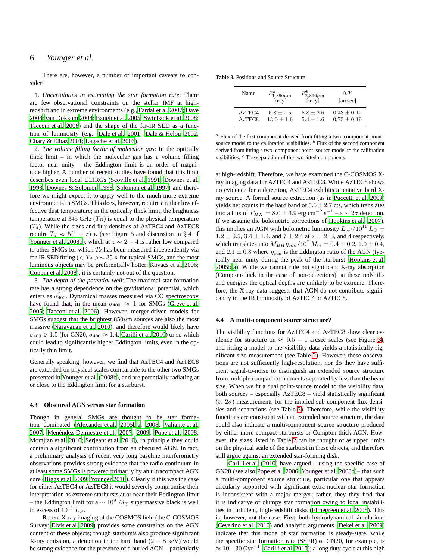# 6 *Younger et al.*

There are, however, a number of important caveats to consider:

1. *Uncertainties in estimating the star formation rate*: There are few observational constraints on the stellar IMF at high-redshift and in extreme environments (e.g., [Fardal et al. 2007](#page-9-73); Davé [2008](#page-9-74); [van Dokkum 2008;](#page-10-34) [Baugh et al. 2005](#page-8-22); [Swinbank et al. 2008;](#page-10-3) [Tacconi et al. 2008](#page-10-9)) and the shape of the far-IR SED as a function of luminosity (e.g., [Dale et al. 2001](#page-9-75); [Dale & Helou 2002;](#page-9-76) [Chary & Elbaz 2001](#page-9-77); [Lagache et al. 2003\)](#page-9-78).

2. *The volume filling factor of molecular gas*: In the optically thick limit – in which the molecular gas has a volume filling factor near unity – the Eddington limit is an order of magnitude higher. A number of recent studies have found that this limit describes even local ULIRGs [\(Scoville et al. 1991](#page-10-35); [Downes et](#page-9-79) al. [1993](#page-9-79); [Downes & Solomon 1998](#page-9-80); [Solomon et al. 1997](#page-10-36)) and therefore we might expect it to apply well to the much more extreme environments in SMGs. This does, however, require a rather low effective dust temperature; in the optically thick limit, the brightness temperature at 345 GHz  $(T_B)$  is equal to the physical temperature  $(T_d)$ . While the sizes and flux densities of AzTEC4 and AzTEC8 require  $T_d \approx 5(1+z)$  K (see Figure 5 and discussion in § 4 of [Younger et al. 2008b](#page-10-19)), which at  $z \sim 2 - 4$  is rather low compared to other SMGs for which  $T_d$  has been measured independently via far-IR SED fitting ( $\langle T_d \rangle \sim 35$  K for typical SMGs, and the most luminous objects may be preferentially hotter: Kovács et al. 2006; [Coppin et al. 2008](#page-9-82)), it is certainly not out of the question.

3. *The depth of the potential well*: The maximal star formation rate has a strong dependence on the gravitational potential, which enters as  $\sigma_{400}^2$ . Dynamical masses measured via CO spectroscopy have found that, in the mean  $\sigma_{400} \approx 1$  for SMGs [\(Greve et al.](#page-9-38) [2005;](#page-9-38) [Tacconi et al. 2006](#page-10-13)). However, merger-driven models for SMGs suggest that the brightest  $850 \mu m$  sources are also the most massive [\(Narayanan et al. 2010](#page-9-9)), and therefore would likely have  $\sigma_{400} \gtrsim 1.5$  (for GN20,  $\sigma_{400} \approx 1.4$ : [Carilli et al. 2010](#page-8-23)) or so which could lead to significantly higher Eddington limits, even in the optically thin limit.

Generally speaking, however, we find that AzTEC4 and AzTEC8 are extended on physical scales comparable to the other two SMGs presented in [Younger et al.](#page-10-19) [\(2008b](#page-10-19)), and are potentially radiating at or close to the Eddington limit for a starburst.

### **4.3 Obscured AGN versus star formation**

Though in general SMGs are thought to be star formation dominated [\(Alexander et al. 2005b](#page-8-4)[,a,](#page-8-5) [2008](#page-8-6); [Valiante et](#page-10-6) al. [2007;](#page-10-6) Menéndez-Delmestre et al. 2007, [2009](#page-9-16); [Pope et al. 2008;](#page-9-17) [Momjian et al. 2010](#page-9-18); [Serjeant et al. 2010](#page-10-7)), in principle they could contain a significant contribution from an obscured AGN. In fact, a preliminary analysis of recent very long baseline interferometry observations provides strong evidence that the radio continuum in at least some SMGs is powered primarily by an ultracompact AGN core [\(Biggs et al. 2009](#page-8-24); [Younger 2010](#page-10-37)). Clearly if this was the case for either AzTEC4 or AzTEC8 it would severely compromise their interpretation as extreme starbursts at or near their Eddington limit – the Eddington limit for a  $\sim 10^9$   $M_{\odot}$  supermassive black is well in excess of  $10^{13}$  L<sub>⊙</sub>.

Recent X-ray imaging of the COSMOS field (the C-COSMOS Survey: [Elvis et al. 2009\)](#page-9-62) provides some constraints on the AGN content of these objects; though starbursts also produce significant X-ray emission, a detection in the hard band  $(2 - 8 \text{ keV})$  would be strong evidence for the presence of a buried AGN – particularly

**Table 3.** Positions and Source Structure

<span id="page-7-1"></span>

| Name               | $F_{1,890\mu m}^{a}$ | $F_{2,890\mu{\rm m}}^{b}$ | $\Delta \theta^c$ |
|--------------------|----------------------|---------------------------|-------------------|
|                    | [mJy]                | [mJy]                     | [arcsec]          |
| AzTEC4             | $5.8 + 2.5$          | $6.8 + 2.6$               | $0.48 + 0.12$     |
| AzTEC <sub>8</sub> | $13.0 + 1.6$         | $5.4 + 1.6$               | $0.75 + 0.19$     |

 $a$  Flux of the first component derived from fitting a two–component point– source model to the calibration visibilities.  $<sup>b</sup>$  Flux of the second component</sup> derived from fitting a two–component point–source model to the calibration visibilities. <sup>c</sup> The separation of the two fitted components.

at high-redshift. Therefore, we have examined the C-COSMOS Xray imaging data for AzTEC4 and AzTEC8. While AzTEC8 shows no evidence for a detection, AzTEC4 exhibits a tentative hard Xray source. A formal source extraction (as in [Puccetti et al.](#page-9-63) [2009](#page-9-63)) yields net counts in the hard band of  $5.5 \pm 2.7$  cts, which translates into a flux of  $F_{HX} = 8.0 \pm 3.9$  erg cm<sup>-2</sup> s<sup>-1</sup> - a ~ 2 $\sigma$  detection. If we assume the bolometric corrections of [Hopkins et al. \(2007](#page-9-83)), this implies an AGN with bolometric luminosity  $L_{bol}/10^{11} L_{\odot} =$  $1.2 \pm 0.5$ ,  $3.4 \pm 1.4$ , and  $7 \pm 2.4$  at  $z = 2$ , 3, and 4 respectively, which translates into  $M_{BH} \eta_{\text{edd}} / 10^7 M_{\odot} = 0.4 \pm 0.2, 1.0 \pm 0.4,$ and  $2.1 \pm 0.8$  where  $\eta_{edd}$  is the Eddington ratio of the AGN (typically near unity during the peak of the starburst: [Hopkins et al.](#page-9-84) [2005b](#page-9-84)[,a\)](#page-9-85). While we cannot rule out significant X-ray absorption (Compton-thick in the case of non-detections), at these redshifts and energies the optical depths are unlikely to be extreme. Therefore, the X-ray data suggests that AGN do not contribute significantly to the IR luminosity of AzTEC4 or AzTEC8.

### <span id="page-7-0"></span>**4.4 A multi-component source structure?**

The visibility functions for AzTEC4 and AzTEC8 show clear evidence for structure on  $\approx 0.5 - 1$  arcsec scales (see Figure [3\)](#page-5-0), and fitting a model to the visibility data yields a statistically significant size measurement (see Table [2\)](#page-5-1). However, these observations are not sufficiently high-resolution, nor do they have sufficient signal-to-noise to distinguish an extended source structure from multiple compact components separated by less than the beam size. When we fit a dual point-source model to the visibility data, both sources – especially AzTEC8 – yield statistically significant  $(≥ 2σ)$  measurements for the implied sub-component flux densities and separations (see Table [3\)](#page-7-1). Therefore, while the visibility functions are consistent with an extended source structure, the data could also indicate a multi-component source structure produced by either more compact starbursts or Compton-thick AGN. However, the sizes listed in Table [2](#page-5-1) can be thought of as upper limits on the physical scale of the starburst in these objects, and therefore still argue against an extended star-forming disk.

[Carilli et al. \(2010\)](#page-8-23) have argued – using the specific case of GN20 (see also [Pope et al. 2006;](#page-9-86) [Younger et al. 2008b\)](#page-10-19)– that such a multi-component source structure, particular one that appears circularly supported with significant extra-nuclear star formation is inconsistent with a major merger; rather, they they find that it is indicative of clumpy star formation owing to local instabilities in turbulent, high-redshift disks [\(Elmegreen et al. 2008](#page-9-49)). This is, however, not the case. First, both hydrodynamical simulations [\(Ceverino et al. 2010](#page-9-51)) and analytic arguments [\(Dekel et al. 2009](#page-9-50)) indicate that this mode of star formation is steady-state, while the specific star formation rate (SSFR) of GN20, for example, is  $\approx 10-30$  Gyr<sup>-1</sup> [\(Carilli et al. 2010](#page-8-23)); a long duty cycle at this high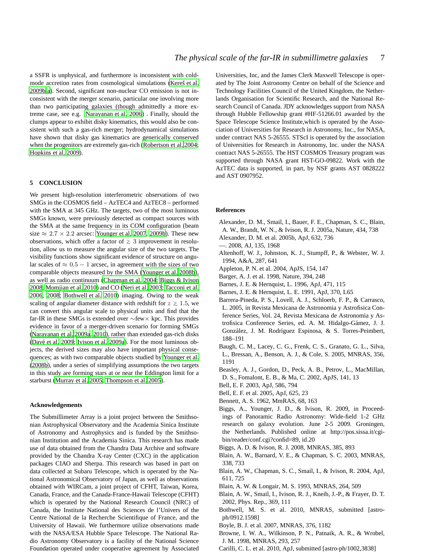a SSFR is unphysical, and furthermore is inconsistent with coldmode accretion rates from cosmological simulations (Kereš et al. [2009b](#page-9-22)[,a\)](#page-9-23). Second, significant non-nuclear CO emission is not inconsistent with the merger scenario, particular one involving more than two participating galaxies (though admittedly a more extreme case, see e.g. [Narayanan et al. 2006\)](#page-9-87) . Finally, should the clumps appear to exhibit disky kinematics, this would also be consistent with such a gas-rich merger; hydrodynamical simulations have shown that disky gas kinematics are generically conserved when the progenitors are extremely gas-rich [\(Robertson et al. 2004;](#page-10-38) [Hopkins et al. 2009](#page-9-25)).

### <span id="page-8-11"></span>**5 CONCLUSION**

We present high-resolution interferometric observations of two SMGs in the COSMOS field – AzTEC4 and AzTEC8 – performed with the SMA at 345 GHz. The targets, two of the most luminous SMGs known, were previously detected as compact sources with the SMA at the same frequency in its COM configuration (beam size  $\approx 2.7 \times 2.2$  arcsec: [Younger et al. 2007,](#page-10-16) [2009b](#page-10-18)). These new observations, which offer a factor of <sup>&</sup>gt;<sup>∼</sup> 3 improvement in resolution, allow us to measure the angular size of the two targets. The visibility functions show significant evidence of structure on angular scales of  $\approx 0.5 - 1$  arcsec, in agreement with the sizes of two comparable objects measured by the SMA [\(Younger et al. 2008b](#page-10-19)), as well as radio continuum [\(Chapman et al. 2004](#page-9-36); [Biggs & Ivison](#page-8-9) [2008](#page-8-9); [Momjian et al. 2010\)](#page-9-18) and CO [\(Neri et al. 2003](#page-9-37); [Tacconi et](#page-10-13) al. [2006](#page-10-13), [2008](#page-10-9); [Bothwell et al. 2010](#page-8-10)) imaging. Owing to the weak scaling of angular diameter distance with redshift for  $z \ge 1.5$ , we can convert this angular scale to physical units and find that the far-IR in these SMGs is extended over ∼few× kpc. This provides evidence in favor of a merger-driven scenario for forming SMGs [\(Narayanan et al. 2009a](#page-9-10), [2010\)](#page-9-9), rather than extended gas-rich disks (Davé et al. 2009; [Ivison et al. 2009a](#page-9-44)). For the most luminous objects, the derived sizes may also have important physical consequences; as with two comparable objects studied by [Younger et al.](#page-10-19) [\(2008b](#page-10-19)), under a series of simplifying assumptions the two targets in this study are forming stars at or near the Eddington limit for a starburst [\(Murray et al. 2005;](#page-9-54) [Thompson et al. 2005\)](#page-10-20).

### **Acknowledgements**

The Submillimeter Array is a joint project between the Smithsonian Astrophysical Observatory and the Academia Sinica Institute of Astronomy and Astrophysics and is funded by the Smithsonian Institution and the Academia Sinica. This research has made use of data obtained from the Chandra Data Archive and software provided by the Chandra X-ray Center (CXC) in the application packages CIAO and Sherpa. This research was based in part on data collected at Subaru Telescope, which is operated by the National Astronomical Observatory of Japan, as well as observations obtained with WIRCam, a joint project of CFHT, Taiwan, Korea, Canada, France, and the Canada-France-Hawaii Telescope (CFHT) which is operated by the National Research Council (NRC) of Canada, the Institute National des Sciences de l'Univers of the Centre National de la Recherche Scientifique of France, and the University of Hawaii. We furthermore utilize observations made with the NASA/ESA Hubble Space Telescope. The National Radio Astronomy Observatory is a facility of the National Science Foundation operated under cooperative agreement by Associated

Universities, Inc, and the James Clerk Maxwell Telescope is operated by The Joint Astronomy Centre on behalf of the Science and Technology Facilities Council of the United Kingdom, the Netherlands Organisation for Scientific Research, and the National Research Council of Canada. JDY acknowledges support from NASA through Hubble Fellowship grant #HF-51266.01 awarded by the Space Telescope Science Institute,which is operated by the Association of Universities for Research in Astronomy, Inc., for NASA, under contract NAS 5-26555. STScI is operated by the association of Universities for Research in Astronomy, Inc. under the NASA contract NAS 5-26555. The HST COSMOS Treasury program was supported through NASA grant HST-GO-09822. Work with the AzTEC data is supported, in part, by NSF grants AST 0828222 and AST 0907952.

### **References**

- <span id="page-8-5"></span>Alexander, D. M., Smail, I., Bauer, F. E., Chapman, S. C., Blain, A. W., Brandt, W. N., & Ivison, R. J. 2005a, Nature, 434, 738
- <span id="page-8-4"></span>Alexander, D. M. et al. 2005b, ApJ, 632, 736
- <span id="page-8-6"></span>—. 2008, AJ, 135, 1968
- <span id="page-8-13"></span>Altenhoff, W. J., Johnston, K. J., Stumpff, P., & Webster, W. J. 1994, A&A, 287, 641
- <span id="page-8-17"></span>Appleton, P. N. et al. 2004, ApJS, 154, 147
- <span id="page-8-0"></span>Barger, A. J. et al. 1998, Nature, 394, 248
- <span id="page-8-7"></span>Barnes, J. E. & Hernquist, L. 1996, ApJ, 471, 115
- <span id="page-8-8"></span>Barnes, J. E. & Hernquist, L. E. 1991, ApJ, 370, L65
- <span id="page-8-14"></span>Barrera-Pineda, P. S., Lovell, A. J., Schloerb, F. P., & Carrasco, L. 2005, in Revista Mexicana de Astronomia y Astrofisica Conference Series, Vol. 24, Revista Mexicana de Astronomia y Astrofisica Conference Series, ed. A. M. Hidalgo-Gámez, J. J. González, J. M. Rodríguez Espinosa, & S. Torres-Peimbert, 188–191
- <span id="page-8-22"></span>Baugh, C. M., Lacey, C. G., Frenk, C. S., Granato, G. L., Silva, L., Bressan, A., Benson, A. J., & Cole, S. 2005, MNRAS, 356, 1191
- <span id="page-8-16"></span>Beasley, A. J., Gordon, D., Peck, A. B., Petrov, L., MacMillan, D. S., Fomalont, E. B., & Ma, C. 2002, ApJS, 141, 13
- <span id="page-8-20"></span>Bell, E. F. 2003, ApJ, 586, 794
- <span id="page-8-21"></span>Bell, E. F. et al. 2005, ApJ, 625, 23
- <span id="page-8-12"></span>Bennett, A. S. 1962, MmRAS, 68, 163
- <span id="page-8-24"></span>Biggs, A., Younger, J. D., & Ivison, R. 2009, in Proceedings of Panoramic Radio Astronomy: Wide-field 1-2 GHz research on galaxy evolution. June 2-5 2009. Groningen, the Netherlands. Published online at http://pos.sissa.it/cgibin/reader/conf.cgi?confid=89, id.20
- <span id="page-8-9"></span>Biggs, A. D. & Ivison, R. J. 2008, MNRAS, 385, 893
- <span id="page-8-19"></span>Blain, A. W., Barnard, V. E., & Chapman, S. C. 2003, MNRAS, 338, 733
- <span id="page-8-3"></span>Blain, A. W., Chapman, S. C., Smail, I., & Ivison, R. 2004, ApJ, 611, 725
- <span id="page-8-2"></span>Blain, A. W. & Longair, M. S. 1993, MNRAS, 264, 509
- <span id="page-8-1"></span>Blain, A. W., Smail, I., Ivison, R. J., Kneib, J.-P., & Frayer, D. T. 2002, Phys. Rep., 369, 111
- <span id="page-8-10"></span>Bothwell, M. S. et al. 2010, MNRAS, submitted [astroph/0912.1598]
- <span id="page-8-18"></span>Boyle, B. J. et al. 2007, MNRAS, 376, 1182
- <span id="page-8-15"></span>Browne, I. W. A., Wilkinson, P. N., Patnaik, A. R., & Wrobel, J. M. 1998, MNRAS, 293, 257
- <span id="page-8-23"></span>Carilli, C. L. et al. 2010, ApJ, submitted [astro-ph/1002,3838]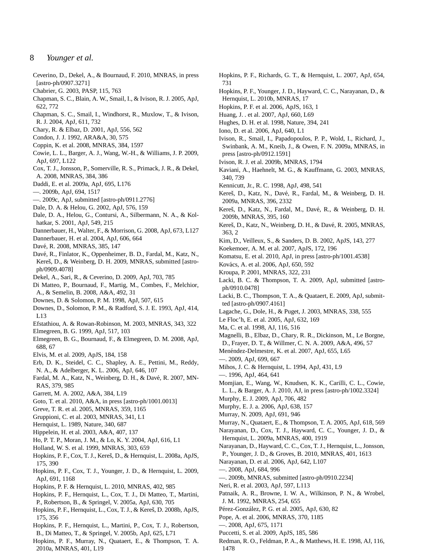# 8 *Younger et al.*

- <span id="page-9-51"></span>Ceverino, D., Dekel, A., & Bournaud, F. 2010, MNRAS, in press [astro-ph/0907.3271]
- <span id="page-9-71"></span>Chabrier, G. 2003, PASP, 115, 763
- <span id="page-9-8"></span>Chapman, S. C., Blain, A. W., Smail, I., & Ivison, R. J. 2005, ApJ, 622, 772
- <span id="page-9-36"></span>Chapman, S. C., Smail, I., Windhorst, R., Muxlow, T., & Ivison, R. J. 2004, ApJ, 611, 732
- <span id="page-9-77"></span>Chary, R. & Elbaz, D. 2001, ApJ, 556, 562
- <span id="page-9-33"></span>Condon, J. J. 1992, ARA&A, 30, 575
- <span id="page-9-82"></span>Coppin, K. et al. 2008, MNRAS, 384, 1597
- <span id="page-9-48"></span>Cowie, L. L., Barger, A. J., Wang, W.-H., & Williams, J. P. 2009, ApJ, 697, L122
- <span id="page-9-29"></span>Cox, T. J., Jonsson, P., Somerville, R. S., Primack, J. R., & Dekel, A. 2008, MNRAS, 384, 386
- <span id="page-9-40"></span>Daddi, E. et al. 2009a, ApJ, 695, L176
- <span id="page-9-39"></span>—. 2009b, ApJ, 694, 1517
- <span id="page-9-32"></span>—. 2009c, ApJ, submitted [astro-ph/0911.2776]
- <span id="page-9-76"></span>Dale, D. A. & Helou, G. 2002, ApJ, 576, 159
- <span id="page-9-75"></span>Dale, D. A., Helou, G., Contursi, A., Silbermann, N. A., & Kolhatkar, S. 2001, ApJ, 549, 215
- <span id="page-9-46"></span>Dannerbauer, H., Walter, F., & Morrison, G. 2008, ApJ, 673, L127
- <span id="page-9-45"></span>Dannerbauer, H. et al. 2004, ApJ, 606, 664
- <span id="page-9-74"></span>Davé, R. 2008, MNRAS, 385, 147
- <span id="page-9-24"></span>Davé, R., Finlator, K., Oppenheimer, B. D., Fardal, M., Katz, N., Kereš, D., & Weinberg, D. H. 2009, MNRAS, submitted [astroph/0909.4078]
- <span id="page-9-50"></span>Dekel, A., Sari, R., & Ceverino, D. 2009, ApJ, 703, 785
- <span id="page-9-30"></span>Di Matteo, P., Bournaud, F., Martig, M., Combes, F., Melchior, A., & Semelin, B. 2008, A&A, 492, 31
- <span id="page-9-80"></span>Downes, D. & Solomon, P. M. 1998, ApJ, 507, 615
- <span id="page-9-79"></span>Downes, D., Solomon, P. M., & Radford, S. J. E. 1993, ApJ, 414, L13
- <span id="page-9-20"></span>Efstathiou, A. & Rowan-Robinson, M. 2003, MNRAS, 343, 322
- <span id="page-9-53"></span>Elmegreen, B. G. 1999, ApJ, 517, 103
- <span id="page-9-49"></span>Elmegreen, B. G., Bournaud, F., & Elmegreen, D. M. 2008, ApJ, 688, 67
- <span id="page-9-62"></span>Elvis, M. et al. 2009, ApJS, 184, 158
- <span id="page-9-31"></span>Erb, D. K., Steidel, C. C., Shapley, A. E., Pettini, M., Reddy, N. A., & Adelberger, K. L. 2006, ApJ, 646, 107
- <span id="page-9-73"></span>Fardal, M. A., Katz, N., Weinberg, D. H., & Davé, R. 2007, MN-RAS, 379, 985
- <span id="page-9-64"></span>Garrett, M. A. 2002, A&A, 384, L19
- <span id="page-9-5"></span>Goto, T. et al. 2010, A&A, in press [astro-ph/1001.0013]
- <span id="page-9-38"></span>Greve, T. R. et al. 2005, MNRAS, 359, 1165
- <span id="page-9-65"></span>Gruppioni, C. et al. 2003, MNRAS, 341, L1
- <span id="page-9-26"></span>Hernquist, L. 1989, Nature, 340, 687
- <span id="page-9-41"></span>Hippelein, H. et al. 2003, A&A, 407, 137
- <span id="page-9-52"></span>Ho, P. T. P., Moran, J. M., & Lo, K. Y. 2004, ApJ, 616, L1
- <span id="page-9-7"></span>Holland, W. S. et al. 1999, MNRAS, 303, 659
- <span id="page-9-14"></span>Hopkins, P. F., Cox, T. J., Kereš, D., & Hernquist, L. 2008a, ApJS, 175, 390
- <span id="page-9-25"></span>Hopkins, P. F., Cox, T. J., Younger, J. D., & Hernquist, L. 2009, ApJ, 691, 1168
- <span id="page-9-1"></span>Hopkins, P. F. & Hernquist, L. 2010, MNRAS, 402, 985
- <span id="page-9-85"></span>Hopkins, P. F., Hernquist, L., Cox, T. J., Di Matteo, T., Martini, P., Robertson, B., & Springel, V. 2005a, ApJ, 630, 705
- <span id="page-9-13"></span>Hopkins, P. F., Hernquist, L., Cox, T. J., & Kereš, D. 2008b, ApJS, 175, 356
- <span id="page-9-84"></span>Hopkins, P. F., Hernquist, L., Martini, P., Cox, T. J., Robertson, B., Di Matteo, T., & Springel, V. 2005b, ApJ, 625, L71
- <span id="page-9-56"></span>Hopkins, P. F., Murray, N., Quataert, E., & Thompson, T. A. 2010a, MNRAS, 401, L19
- <span id="page-9-83"></span>Hopkins, P. F., Richards, G. T., & Hernquist, L. 2007, ApJ, 654, 731
- <span id="page-9-0"></span>Hopkins, P. F., Younger, J. D., Hayward, C. C., Narayanan, D., & Hernquist, L. 2010b, MNRAS, 17
- <span id="page-9-12"></span>Hopkins, P. F. et al. 2006, ApJS, 163, 1
- <span id="page-9-69"></span>Huang, J. . et al. 2007, ApJ, 660, L69
- <span id="page-9-6"></span>Hughes, D. H. et al. 1998, Nature, 394, 241
- <span id="page-9-47"></span>Iono, D. et al. 2006, ApJ, 640, L1
- <span id="page-9-44"></span>Ivison, R., Smail, I., Papadopoulos, P. P., Wold, I., Richard, J., Swinbank, A. M., Kneib, J., & Owen, F. N. 2009a, MNRAS, in press [astro-ph/0912.1591]
- <span id="page-9-66"></span>Ivison, R. J. et al. 2009b, MNRAS, 1794
- <span id="page-9-19"></span>Kaviani, A., Haehnelt, M. G., & Kauffmann, G. 2003, MNRAS, 340, 739
- <span id="page-9-72"></span>Kennicutt, Jr., R. C. 1998, ApJ, 498, 541
- <span id="page-9-23"></span>Kereš, D., Katz, N., Davé, R., Fardal, M., & Weinberg, D. H. 2009a, MNRAS, 396, 2332
- <span id="page-9-22"></span>Kereš, D., Katz, N., Fardal, M., Davé, R., & Weinberg, D. H. 2009b, MNRAS, 395, 160
- <span id="page-9-21"></span>Kereš, D., Katz, N., Weinberg, D. H., & Davé, R. 2005, MNRAS, 363, 2
- <span id="page-9-68"></span>Kim, D., Veilleux, S., & Sanders, D. B. 2002, ApJS, 143, 277
- <span id="page-9-61"></span>Koekemoer, A. M. et al. 2007, ApJS, 172, 196
- <span id="page-9-57"></span>Komatsu, E. et al. 2010, ApJ, in press [astro-ph/1001.4538]
- <span id="page-9-81"></span>Kovács, A. et al. 2006, ApJ, 650, 592
- <span id="page-9-70"></span>Kroupa, P. 2001, MNRAS, 322, 231
- <span id="page-9-35"></span>Lacki, B. C. & Thompson, T. A. 2009, ApJ, submitted [astroph/0910.0478]
- <span id="page-9-34"></span>Lacki, B. C., Thompson, T. A., & Quataert, E. 2009, ApJ, submitted [astro-ph/0907.4161]
- <span id="page-9-78"></span>Lagache, G., Dole, H., & Puget, J. 2003, MNRAS, 338, 555
- <span id="page-9-2"></span>Le Floc'h, E. et al. 2005, ApJ, 632, 169
- <span id="page-9-60"></span>Ma, C. et al. 1998, AJ, 116, 516
- <span id="page-9-4"></span>Magnelli, B., Elbaz, D., Chary, R. R., Dickinson, M., Le Borgne, D., Frayer, D. T., & Willmer, C. N. A. 2009, A&A, 496, 57
- <span id="page-9-15"></span>Menéndez-Delmestre, K. et al. 2007, ApJ, 655, L65
- <span id="page-9-16"></span>—. 2009, ApJ, 699, 667
- <span id="page-9-27"></span>Mihos, J. C. & Hernquist, L. 1994, ApJ, 431, L9
- <span id="page-9-28"></span>—. 1996, ApJ, 464, 641
- <span id="page-9-18"></span>Momjian, E., Wang, W., Knudsen, K. K., Carilli, C. L., Cowie, L. L., & Barger, A. J. 2010, AJ, in press [astro-ph/1002.3324]
- <span id="page-9-67"></span>Murphy, E. J. 2009, ApJ, 706, 482
- <span id="page-9-42"></span>Murphy, E. J. a. 2006, ApJ, 638, 157
- <span id="page-9-55"></span>Murray, N. 2009, ApJ, 691, 946
- <span id="page-9-54"></span>Murray, N., Quataert, E., & Thompson, T. A. 2005, ApJ, 618, 569
- <span id="page-9-10"></span>Narayanan, D., Cox, T. J., Hayward, C. C., Younger, J. D., & Hernquist, L. 2009a, MNRAS, 400, 1919
- <span id="page-9-9"></span>Narayanan, D., Hayward, C. C., Cox, T. J., Hernquist, L., Jonsson,
- P., Younger, J. D., & Groves, B. 2010, MNRAS, 401, 1613
- <span id="page-9-87"></span>Narayanan, D. et al. 2006, ApJ, 642, L107
- <span id="page-9-43"></span>—. 2008, ApJ, 684, 996
- <span id="page-9-11"></span>—. 2009b, MNRAS, submitted [astro-ph/0910.2234]
- <span id="page-9-37"></span>Neri, R. et al. 2003, ApJ, 597, L113
- <span id="page-9-59"></span>Patnaik, A. R., Browne, I. W. A., Wilkinson, P. N., & Wrobel, J. M. 1992, MNRAS, 254, 655
- <span id="page-9-3"></span>Pérez-González, P. G. et al. 2005, ApJ, 630, 82
- <span id="page-9-86"></span>Pope, A. et al. 2006, MNRAS, 370, 1185
- <span id="page-9-17"></span>—. 2008, ApJ, 675, 1171
- <span id="page-9-63"></span>Puccetti, S. et al. 2009, ApJS, 185, 586
- <span id="page-9-58"></span>Redman, R. O., Feldman, P. A., & Matthews, H. E. 1998, AJ, 116, 1478